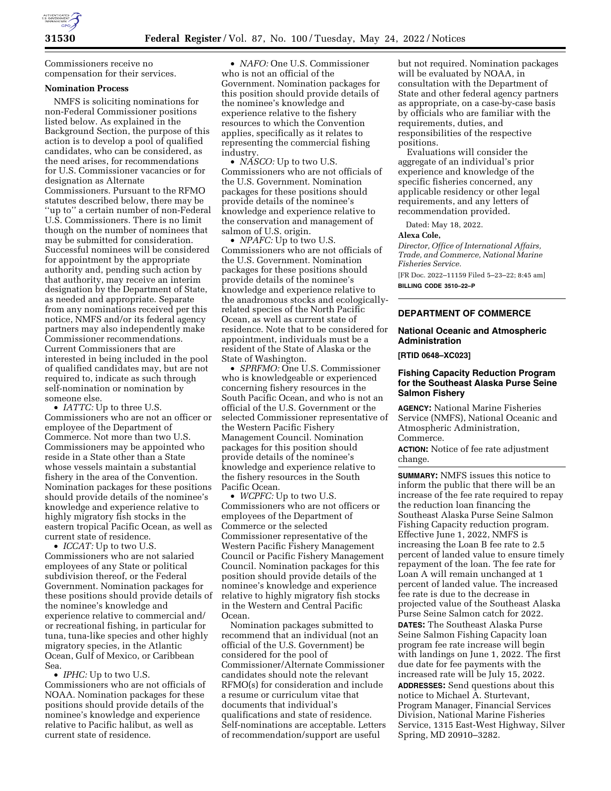

Commissioners receive no compensation for their services.

#### **Nomination Process**

NMFS is soliciting nominations for non-Federal Commissioner positions listed below. As explained in the Background Section, the purpose of this action is to develop a pool of qualified candidates, who can be considered, as the need arises, for recommendations for U.S. Commissioner vacancies or for designation as Alternate Commissioners. Pursuant to the RFMO statutes described below, there may be ''up to'' a certain number of non-Federal U.S. Commissioners. There is no limit though on the number of nominees that may be submitted for consideration. Successful nominees will be considered for appointment by the appropriate authority and, pending such action by that authority, may receive an interim designation by the Department of State, as needed and appropriate. Separate from any nominations received per this notice, NMFS and/or its federal agency partners may also independently make Commissioner recommendations. Current Commissioners that are interested in being included in the pool of qualified candidates may, but are not required to, indicate as such through self-nomination or nomination by someone else.

• *IATTC:* Up to three U.S. Commissioners who are not an officer or employee of the Department of Commerce. Not more than two U.S. Commissioners may be appointed who reside in a State other than a State whose vessels maintain a substantial fishery in the area of the Convention. Nomination packages for these positions should provide details of the nominee's knowledge and experience relative to highly migratory fish stocks in the eastern tropical Pacific Ocean, as well as current state of residence.

• *ICCAT*: Up to two U.S. Commissioners who are not salaried employees of any State or political subdivision thereof, or the Federal Government. Nomination packages for these positions should provide details of the nominee's knowledge and experience relative to commercial and/ or recreational fishing, in particular for tuna, tuna-like species and other highly migratory species, in the Atlantic Ocean, Gulf of Mexico, or Caribbean Sea.

#### • *IPHC:* Up to two U.S.

Commissioners who are not officials of NOAA. Nomination packages for these positions should provide details of the nominee's knowledge and experience relative to Pacific halibut, as well as current state of residence.

• *NAFO:* One U.S. Commissioner who is not an official of the Government. Nomination packages for this position should provide details of the nominee's knowledge and experience relative to the fishery resources to which the Convention applies, specifically as it relates to representing the commercial fishing industry.

• *NASCO:* Up to two U.S. Commissioners who are not officials of the U.S. Government. Nomination packages for these positions should provide details of the nominee's knowledge and experience relative to the conservation and management of salmon of U.S. origin.

• *NPAFC:* Up to two U.S. Commissioners who are not officials of the U.S. Government. Nomination packages for these positions should provide details of the nominee's knowledge and experience relative to the anadromous stocks and ecologicallyrelated species of the North Pacific Ocean, as well as current state of residence. Note that to be considered for appointment, individuals must be a resident of the State of Alaska or the State of Washington.

• *SPRFMO:* One U.S. Commissioner who is knowledgeable or experienced concerning fishery resources in the South Pacific Ocean, and who is not an official of the U.S. Government or the selected Commissioner representative of the Western Pacific Fishery Management Council. Nomination packages for this position should provide details of the nominee's knowledge and experience relative to the fishery resources in the South Pacific Ocean.

• *WCPFC:* Up to two U.S. Commissioners who are not officers or employees of the Department of Commerce or the selected Commissioner representative of the Western Pacific Fishery Management Council or Pacific Fishery Management Council. Nomination packages for this position should provide details of the nominee's knowledge and experience relative to highly migratory fish stocks in the Western and Central Pacific Ocean.

Nomination packages submitted to recommend that an individual (not an official of the U.S. Government) be considered for the pool of Commissioner/Alternate Commissioner candidates should note the relevant RFMO(s) for consideration and include a resume or curriculum vitae that documents that individual's qualifications and state of residence. Self-nominations are acceptable. Letters of recommendation/support are useful

but not required. Nomination packages will be evaluated by NOAA, in consultation with the Department of State and other federal agency partners as appropriate, on a case-by-case basis by officials who are familiar with the requirements, duties, and responsibilities of the respective positions.

Evaluations will consider the aggregate of an individual's prior experience and knowledge of the specific fisheries concerned, any applicable residency or other legal requirements, and any letters of recommendation provided.

Dated: May 18, 2022.

#### **Alexa Cole,**

*Director, Office of International Affairs, Trade, and Commerce, National Marine Fisheries Service.* 

[FR Doc. 2022–11159 Filed 5–23–22; 8:45 am] **BILLING CODE 3510–22–P** 

## **DEPARTMENT OF COMMERCE**

#### **National Oceanic and Atmospheric Administration**

#### **[RTID 0648–XC023]**

# **Fishing Capacity Reduction Program for the Southeast Alaska Purse Seine Salmon Fishery**

**AGENCY:** National Marine Fisheries Service (NMFS), National Oceanic and Atmospheric Administration, Commerce.

**ACTION:** Notice of fee rate adjustment change.

**SUMMARY:** NMFS issues this notice to inform the public that there will be an increase of the fee rate required to repay the reduction loan financing the Southeast Alaska Purse Seine Salmon Fishing Capacity reduction program. Effective June 1, 2022, NMFS is increasing the Loan B fee rate to 2.5 percent of landed value to ensure timely repayment of the loan. The fee rate for Loan A will remain unchanged at 1 percent of landed value. The increased fee rate is due to the decrease in projected value of the Southeast Alaska Purse Seine Salmon catch for 2022. **DATES:** The Southeast Alaska Purse Seine Salmon Fishing Capacity loan program fee rate increase will begin with landings on June 1, 2022. The first due date for fee payments with the increased rate will be July 15, 2022. **ADDRESSES:** Send questions about this notice to Michael A. Sturtevant, Program Manager, Financial Services Division, National Marine Fisheries Service, 1315 East-West Highway, Silver Spring, MD 20910–3282.